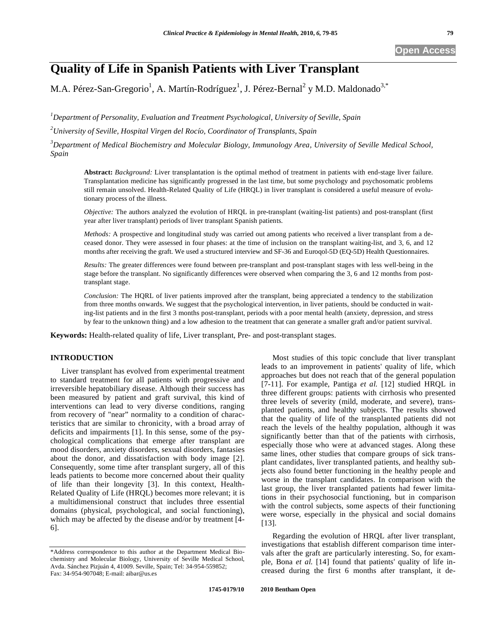# **Quality of Life in Spanish Patients with Liver Transplant**

M.A. Pérez-San-Gregorio<sup>1</sup>, A. Martín-Rodríguez<sup>1</sup>, J. Pérez-Bernal<sup>2</sup> y M.D. Maldonado<sup>3,\*</sup>

*1 Department of Personality, Evaluation and Treatment Psychological, University of Seville, Spain 2 University of Seville, Hospital Virgen del Rocío, Coordinator of Transplants, Spain* 

*3 Department of Medical Biochemistry and Molecular Biology, Immunology Area, University of Seville Medical School, Spain* 

**Abstract:** *Background:* Liver transplantation is the optimal method of treatment in patients with end-stage liver failure. Transplantation medicine has significantly progressed in the last time, but some psychology and psychosomatic problems still remain unsolved. Health-Related Quality of Life (HRQL) in liver transplant is considered a useful measure of evolutionary process of the illness.

*Objective:* The authors analyzed the evolution of HRQL in pre-transplant (waiting-list patients) and post-transplant (first year after liver transplant) periods of liver transplant Spanish patients.

*Methods:* A prospective and longitudinal study was carried out among patients who received a liver transplant from a deceased donor. They were assessed in four phases: at the time of inclusion on the transplant waiting-list, and 3, 6, and 12 months after receiving the graft. We used a structured interview and SF-36 and Euroqol-5D (EQ-5D) Health Questionnaires.

*Results:* The greater differences were found between pre-transplant and post-transplant stages with less well-being in the stage before the transplant. No significantly differences were observed when comparing the 3, 6 and 12 months from posttransplant stage.

*Conclusion:* The HQRL of liver patients improved after the transplant, being appreciated a tendency to the stabilization from three months onwards. We suggest that the psychological intervention, in liver patients, should be conducted in waiting-list patients and in the first 3 months post-transplant, periods with a poor mental health (anxiety, depression, and stress by fear to the unknown thing) and a low adhesion to the treatment that can generate a smaller graft and/or patient survival.

**Keywords:** Health-related quality of life, Liver transplant, Pre- and post-transplant stages.

# **INTRODUCTION**

Liver transplant has evolved from experimental treatment to standard treatment for all patients with progressive and irreversible hepatobiliary disease. Although their success has been measured by patient and graft survival, this kind of interventions can lead to very diverse conditions, ranging from recovery of "near" normality to a condition of characteristics that are similar to chronicity, with a broad array of deficits and impairments [1]. In this sense, some of the psychological complications that emerge after transplant are mood disorders, anxiety disorders, sexual disorders, fantasies about the donor, and dissatisfaction with body image [2]. Consequently, some time after transplant surgery, all of this leads patients to become more concerned about their quality of life than their longevity [3]. In this context, Health-Related Quality of Life (HRQL) becomes more relevant; it is a multidimensional construct that includes three essential domains (physical, psychological, and social functioning), which may be affected by the disease and/or by treatment [4- 6].

Most studies of this topic conclude that liver transplant leads to an improvement in patients' quality of life, which approaches but does not reach that of the general population [7-11]. For example, Pantiga *et al.* [12] studied HRQL in three different groups: patients with cirrhosis who presented three levels of severity (mild, moderate, and severe), transplanted patients, and healthy subjects. The results showed that the quality of life of the transplanted patients did not reach the levels of the healthy population, although it was significantly better than that of the patients with cirrhosis, especially those who were at advanced stages. Along these same lines, other studies that compare groups of sick transplant candidates, liver transplanted patients, and healthy subjects also found better functioning in the healthy people and worse in the transplant candidates. In comparison with the last group, the liver transplanted patients had fewer limitations in their psychosocial functioning, but in comparison with the control subjects, some aspects of their functioning were worse, especially in the physical and social domains [13].

Regarding the evolution of HRQL after liver transplant, investigations that establish different comparison time intervals after the graft are particularly interesting. So, for example, Bona *et al.* [14] found that patients' quality of life increased during the first 6 months after transplant, it de-

<sup>\*</sup>Address correspondence to this author at the Department Medical Biochemistry and Molecular Biology, University of Seville Medical School, Avda. Sánchez Pizjuán 4, 41009. Seville, Spain; Tel: 34-954-559852; Fax: 34-954-907048; E-mail: aibar@us.es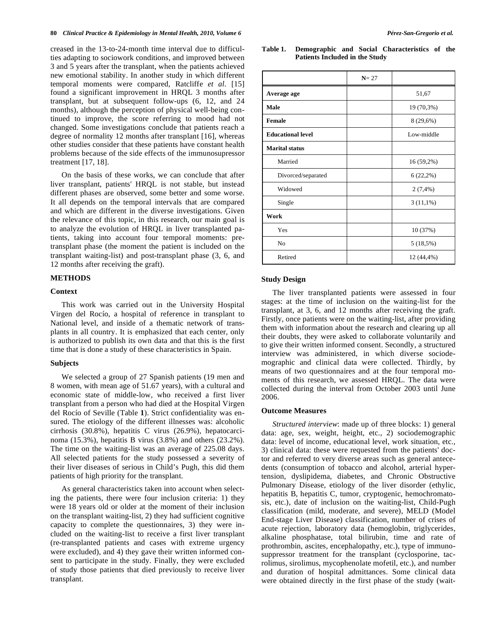creased in the 13-to-24-month time interval due to difficulties adapting to sociowork conditions, and improved between 3 and 5 years after the transplant, when the patients achieved new emotional stability. In another study in which different temporal moments were compared, Ratcliffe *et al.* [15] found a significant improvement in HRQL 3 months after transplant, but at subsequent follow-ups (6, 12, and 24 months), although the perception of physical well-being continued to improve, the score referring to mood had not changed. Some investigations conclude that patients reach a degree of normality 12 months after transplant [16], whereas other studies consider that these patients have constant health problems because of the side effects of the immunosupressor treatment [17, 18].

On the basis of these works, we can conclude that after liver transplant, patients' HRQL is not stable, but instead different phases are observed, some better and some worse. It all depends on the temporal intervals that are compared and which are different in the diverse investigations. Given the relevance of this topic, in this research, our main goal is to analyze the evolution of HRQL in liver transplanted patients, taking into account four temporal moments: pretransplant phase (the moment the patient is included on the transplant waiting-list) and post-transplant phase (3, 6, and 12 months after receiving the graft).

# **METHODS**

#### **Context**

This work was carried out in the University Hospital Virgen del Rocío, a hospital of reference in transplant to National level, and inside of a thematic network of transplants in all country. It is emphasized that each center, only is authorized to publish its own data and that this is the first time that is done a study of these characteristics in Spain.

#### **Subjects**

We selected a group of 27 Spanish patients (19 men and 8 women, with mean age of 51.67 years), with a cultural and economic state of middle-low, who received a first liver transplant from a person who had died at the Hospital Virgen del Rocío of Seville (Table **1**). Strict confidentiality was ensured. The etiology of the different illnesses was: alcoholic cirrhosis (30.8%), hepatitis C virus (26.9%), hepatocarcinoma (15.3%), hepatitis B virus (3.8%) and others (23.2%). The time on the waiting-list was an average of 225.08 days. All selected patients for the study possessed a severity of their liver diseases of serious in Child's Pugh, this did them patients of high priority for the transplant.

As general characteristics taken into account when selecting the patients, there were four inclusion criteria: 1) they were 18 years old or older at the moment of their inclusion on the transplant waiting-list, 2) they had sufficient cognitive capacity to complete the questionnaires, 3) they were included on the waiting-list to receive a first liver transplant (re-transplanted patients and cases with extreme urgency were excluded), and 4) they gave their written informed consent to participate in the study. Finally, they were excluded of study those patients that died previously to receive liver transplant.

#### **Table 1. Demographic and Social Characteristics of the Patients Included in the Study**

|                          | $N = 27$ |             |
|--------------------------|----------|-------------|
| Average age              |          | 51,67       |
| Male                     |          | 19 (70,3%)  |
| <b>Female</b>            |          | 8 (29,6%)   |
| <b>Educational level</b> |          | Low-middle  |
| <b>Marital</b> status    |          |             |
| Married                  |          | 16 (59,2%)  |
| Divorced/separated       |          | $6(22,2\%)$ |
| Widowed                  |          | $2(7,4\%)$  |
| Single                   |          | $3(11,1\%)$ |
| Work                     |          |             |
| Yes                      |          | 10 (37%)    |
| N <sub>0</sub>           |          | 5(18,5%)    |
| Retired                  |          | 12 (44,4%)  |

#### **Study Design**

The liver transplanted patients were assessed in four stages: at the time of inclusion on the waiting-list for the transplant, at 3, 6, and 12 months after receiving the graft. Firstly, once patients were on the waiting-list, after providing them with information about the research and clearing up all their doubts, they were asked to collaborate voluntarily and to give their written informed consent. Secondly, a structured interview was administered, in which diverse sociodemographic and clinical data were collected. Thirdly, by means of two questionnaires and at the four temporal moments of this research, we assessed HRQL. The data were collected during the interval from October 2003 until June 2006.

#### **Outcome Measures**

*Structured interview*: made up of three blocks: 1) general data: age, sex, weight, height, etc., 2) sociodemographic data: level of income, educational level, work situation, etc., 3) clinical data: these were requested from the patients' doctor and referred to very diverse areas such as general antecedents (consumption of tobacco and alcohol, arterial hypertension, dyslipidema, diabetes, and Chronic Obstructive Pulmonary Disease, etiology of the liver disorder (ethylic, hepatitis B, hepatitis C, tumor, cryptogenic, hemochromatosis, etc.), date of inclusion on the waiting-list, Child-Pugh classification (mild, moderate, and severe), MELD (Model End-stage Liver Disease) classification, number of crises of acute rejection, laboratory data (hemoglobin, triglycerides, alkaline phosphatase, total bilirubin, time and rate of prothrombin, ascites, encephalopathy, etc.), type of immunosuppressor treatment for the transplant (cyclosporine, tacrolimus, sirolimus, mycophenolate mofetil, etc.), and number and duration of hospital admittances. Some clinical data were obtained directly in the first phase of the study (wait-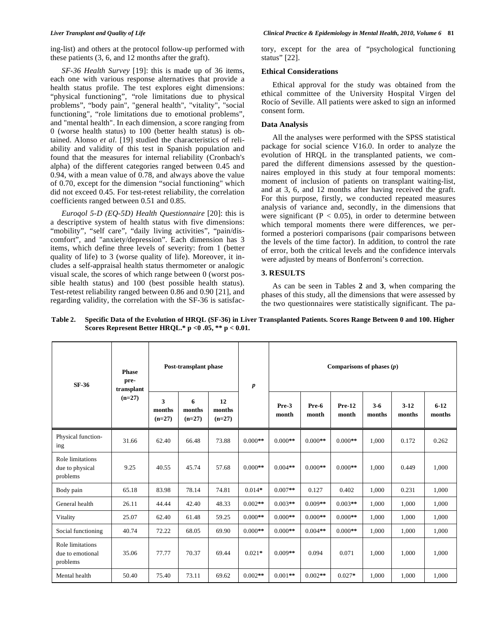*SF-36 Health Survey* [19]: this is made up of 36 items, each one with various response alternatives that provide a health status profile. The test explores eight dimensions: "physical functioning", "role limitations due to physical problems", "body pain", "general health", "vitality", "social functioning", "role limitations due to emotional problems", and "mental health". In each dimension, a score ranging from 0 (worse health status) to 100 (better health status) is obtained. Alonso *et al*. [19] studied the characteristics of reliability and validity of this test in Spanish population and found that the measures for internal reliability (Cronbach's alpha) of the different categories ranged between 0.45 and 0.94, with a mean value of 0.78, and always above the value of 0.70, except for the dimension "social functioning" which did not exceed 0.45. For test-retest reliability, the correlation coefficients ranged between 0.51 and 0.85.

*Euroqol 5-D (EQ-5D) Health Questionnaire* [20]: this is a descriptive system of health status with five dimensions: "mobility", "self care", "daily living activities", "pain/discomfort", and "anxiety/depression". Each dimension has 3 items, which define three levels of severity: from 1 (better quality of life) to 3 (worse quality of life). Moreover, it includes a self-appraisal health status thermometer or analogic visual scale, the scores of which range between 0 (worst possible health status) and 100 (best possible health status). Test-retest reliability ranged between 0.86 and 0.90 [21], and regarding validity, the correlation with the SF-36 is satisfactory, except for the area of "psychological functioning status" [22].

# **Ethical Considerations**

Ethical approval for the study was obtained from the ethical committee of the University Hospital Virgen del Rocío of Seville. All patients were asked to sign an informed consent form.

# **Data Analysis**

All the analyses were performed with the SPSS statistical package for social science V16.0. In order to analyze the evolution of HRQL in the transplanted patients, we compared the different dimensions assessed by the questionnaires employed in this study at four temporal moments: moment of inclusion of patients on transplant waiting-list, and at 3, 6, and 12 months after having received the graft. For this purpose, firstly, we conducted repeated measures analysis of variance and, secondly, in the dimensions that were significant ( $P < 0.05$ ), in order to determine between which temporal moments there were differences, we performed a posteriori comparisons (pair comparisons between the levels of the time factor). In addition, to control the rate of error, both the critical levels and the confidence intervals were adjusted by means of Bonferroni's correction.

# **3. RESULTS**

As can be seen in Tables **2** and **3**, when comparing the phases of this study, all the dimensions that were assessed by the two questionnaires were statistically significant. The pa-

| SF-36                                            | <b>Phase</b><br>pre-<br>transplant<br>$(n=27)$ | Post-transplant phase   |                         |                          | $\boldsymbol{p}$ | Comparisons of phases $(p)$ |                |                   |                 |                  |                    |
|--------------------------------------------------|------------------------------------------------|-------------------------|-------------------------|--------------------------|------------------|-----------------------------|----------------|-------------------|-----------------|------------------|--------------------|
|                                                  |                                                | 3<br>months<br>$(n=27)$ | 6<br>months<br>$(n=27)$ | 12<br>months<br>$(n=27)$ |                  | Pre-3<br>month              | Pre-6<br>month | $Pre-12$<br>month | $3-6$<br>months | $3-12$<br>months | $6 - 12$<br>months |
| Physical function-<br>ing                        | 31.66                                          | 62.40                   | 66.48                   | 73.88                    | $0.000**$        | $0.000**$                   | $0.000**$      | $0.000**$         | 1.000           | 0.172            | 0.262              |
| Role limitations<br>due to physical<br>problems  | 9.25                                           | 40.55                   | 45.74                   | 57.68                    | $0.000**$        | $0.004**$                   | $0.000**$      | $0.000**$         | 1.000           | 0.449            | 1,000              |
| Body pain                                        | 65.18                                          | 83.98                   | 78.14                   | 74.81                    | $0.014*$         | $0.007**$                   | 0.127          | 0.402             | 1.000           | 0.231            | 1,000              |
| General health                                   | 26.11                                          | 44.44                   | 42.40                   | 48.33                    | $0.002**$        | $0.003**$                   | $0.009**$      | $0.003**$         | 1.000           | 1.000            | 1,000              |
| Vitality                                         | 25.07                                          | 62.40                   | 61.48                   | 59.25                    | $0.000**$        | $0.000**$                   | $0.000**$      | $0.000**$         | 1.000           | 1,000            | 1,000              |
| Social functioning                               | 40.74                                          | 72.22                   | 68.05                   | 69.90                    | $0.000**$        | $0.000**$                   | $0.004**$      | $0.000**$         | 1.000           | 1,000            | 1,000              |
| Role limitations<br>due to emotional<br>problems | 35.06                                          | 77.77                   | 70.37                   | 69.44                    | $0.021*$         | $0.009**$                   | 0.094          | 0.071             | 1.000           | 1,000            | 1,000              |
| Mental health                                    | 50.40                                          | 75.40                   | 73.11                   | 69.62                    | $0.002**$        | $0.001**$                   | $0.002**$      | $0.027*$          | 1.000           | 1,000            | 1,000              |

**Table 2. Specific Data of the Evolution of HRQL (SF-36) in Liver Transplanted Patients. Scores Range Between 0 and 100. Higher Scores Represent Better HRQL.\* p <0 .05, \*\* p < 0.01.**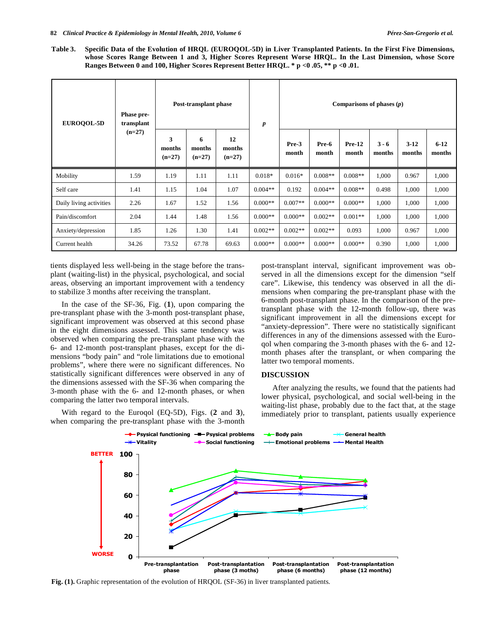**Table 3. Specific Data of the Evolution of HRQL (EUROQOL-5D) in Liver Transplanted Patients. In the First Five Dimensions, whose Scores Range Between 1 and 3, Higher Scores Represent Worse HRQL. In the Last Dimension, whose Score Ranges Between 0 and 100, Higher Scores Represent Better HRQL. \* p <0 .05, \*\* p <0 .01.** 

| <b>EUROQOL-5D</b>       | <b>Phase pre-</b><br>transplant<br>$(n=27)$ | Post-transplant phase   |                         |                          | $\boldsymbol{p}$ | Comparisons of phases $(p)$ |                |                   |                   |                  |                    |
|-------------------------|---------------------------------------------|-------------------------|-------------------------|--------------------------|------------------|-----------------------------|----------------|-------------------|-------------------|------------------|--------------------|
|                         |                                             | 3<br>months<br>$(n=27)$ | 6<br>months<br>$(n=27)$ | 12<br>months<br>$(n=27)$ |                  | Pre-3<br>month              | Pre-6<br>month | $Pre-12$<br>month | $3 - 6$<br>months | $3-12$<br>months | $6 - 12$<br>months |
| Mobility                | 1.59                                        | 1.19                    | 1.11                    | 1.11                     | $0.018*$         | $0.016*$                    | $0.008**$      | $0.008**$         | 1,000             | 0.967            | 1,000              |
| Self care               | 1.41                                        | 1.15                    | 1.04                    | 1.07                     | $0.004**$        | 0.192                       | $0.004**$      | $0.008**$         | 0.498             | 1,000            | 1,000              |
| Daily living activities | 2.26                                        | 1.67                    | 1.52                    | 1.56                     | $0.000**$        | $0.007**$                   | $0.000**$      | $0.000**$         | 1,000             | 1,000            | 1,000              |
| Pain/discomfort         | 2.04                                        | 1.44                    | 1.48                    | 1.56                     | $0.000**$        | $0.000**$                   | $0.002**$      | $0.001**$         | 1,000             | 1,000            | 1,000              |
| Anxiety/depression      | 1.85                                        | 1.26                    | 1.30                    | 1.41                     | $0.002**$        | $0.002**$                   | $0.002**$      | 0.093             | 1,000             | 0.967            | 1,000              |
| Current health          | 34.26                                       | 73.52                   | 67.78                   | 69.63                    | $0.000**$        | $0.000**$                   | $0.000**$      | $0.000**$         | 0.390             | 1,000            | 1,000              |

tients displayed less well-being in the stage before the transplant (waiting-list) in the physical, psychological, and social areas, observing an important improvement with a tendency to stabilize 3 months after receiving the transplant.

In the case of the SF-36, Fig. (**1**), upon comparing the pre-transplant phase with the 3-month post-transplant phase, significant improvement was observed at this second phase in the eight dimensions assessed. This same tendency was observed when comparing the pre-transplant phase with the 6- and 12-month post-transplant phases, except for the dimensions "body pain" and "role limitations due to emotional problems", where there were no significant differences. No statistically significant differences were observed in any of the dimensions assessed with the SF-36 when comparing the 3-month phase with the 6- and 12-month phases, or when comparing the latter two temporal intervals.

With regard to the Euroqol (EQ-5D), Figs. (**2** and **3**), when comparing the pre-transplant phase with the 3-month post-transplant interval, significant improvement was observed in all the dimensions except for the dimension "self care". Likewise, this tendency was observed in all the dimensions when comparing the pre-transplant phase with the 6-month post-transplant phase. In the comparison of the pretransplant phase with the 12-month follow-up, there was significant improvement in all the dimensions except for "anxiety-depression". There were no statistically significant differences in any of the dimensions assessed with the Euroqol when comparing the 3-month phases with the 6- and 12 month phases after the transplant, or when comparing the latter two temporal moments.

#### **DISCUSSION**

After analyzing the results, we found that the patients had lower physical, psychological, and social well-being in the waiting-list phase, probably due to the fact that, at the stage immediately prior to transplant, patients usually experience



**Fig. (1).** Graphic representation of the evolution of HRQOL (SF-36) in liver transplanted patients.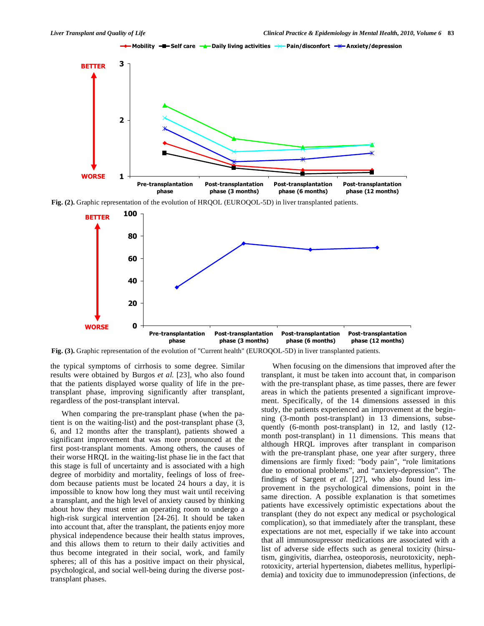

**Fig. (2).** Graphic representation of the evolution of HRQOL (EUROQOL-5D) in liver transplanted patients.



**Fig. (3).** Graphic representation of the evolution of "Current health" (EUROQOL-5D) in liver transplanted patients.

the typical symptoms of cirrhosis to some degree. Similar results were obtained by Burgos *et al.* [23], who also found that the patients displayed worse quality of life in the pretransplant phase, improving significantly after transplant, regardless of the post-transplant interval.

When comparing the pre-transplant phase (when the patient is on the waiting-list) and the post-transplant phase (3, 6, and 12 months after the transplant), patients showed a significant improvement that was more pronounced at the first post-transplant moments. Among others, the causes of their worse HRQL in the waiting-list phase lie in the fact that this stage is full of uncertainty and is associated with a high degree of morbidity and mortality, feelings of loss of freedom because patients must be located 24 hours a day, it is impossible to know how long they must wait until receiving a transplant, and the high level of anxiety caused by thinking about how they must enter an operating room to undergo a high-risk surgical intervention [24-26]. It should be taken into account that, after the transplant, the patients enjoy more physical independence because their health status improves, and this allows them to return to their daily activities and thus become integrated in their social, work, and family spheres; all of this has a positive impact on their physical, psychological, and social well-being during the diverse posttransplant phases.

When focusing on the dimensions that improved after the transplant, it must be taken into account that, in comparison with the pre-transplant phase, as time passes, there are fewer areas in which the patients presented a significant improvement. Specifically, of the 14 dimensions assessed in this study, the patients experienced an improvement at the beginning (3-month post-transplant) in 13 dimensions, subsequently (6-month post-transplant) in 12, and lastly (12 month post-transplant) in 11 dimensions. This means that although HRQL improves after transplant in comparison with the pre-transplant phase, one year after surgery, three dimensions are firmly fixed: "body pain", "role limitations due to emotional problems", and "anxiety-depression". The findings of Sargent *et al.* [27], who also found less improvement in the psychological dimensions, point in the same direction. A possible explanation is that sometimes patients have excessively optimistic expectations about the transplant (they do not expect any medical or psychological complication), so that immediately after the transplant, these expectations are not met, especially if we take into account that all immunosupressor medications are associated with a list of adverse side effects such as general toxicity (hirsutism, gingivitis, diarrhea, osteoporosis, neurotoxicity, nephrotoxicity, arterial hypertension, diabetes mellitus, hyperlipidemia) and toxicity due to immunodepression (infections, de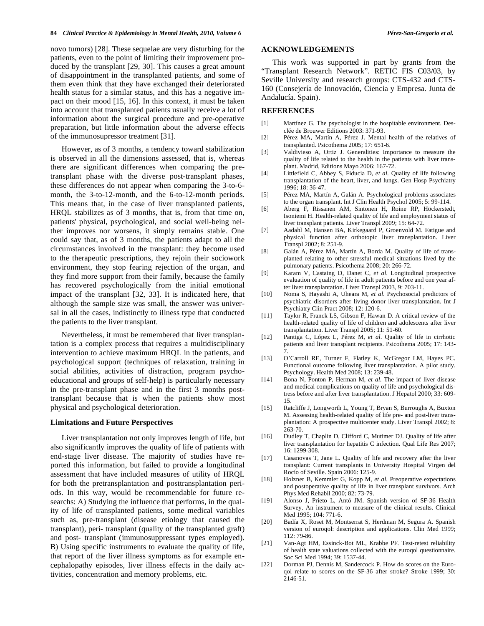novo tumors) [28]. These sequelae are very disturbing for the patients, even to the point of limiting their improvement produced by the transplant [29, 30]. This causes a great amount of disappointment in the transplanted patients, and some of them even think that they have exchanged their deteriorated health status for a similar status, and this has a negative impact on their mood [15, 16]. In this context, it must be taken into account that transplanted patients usually receive a lot of information about the surgical procedure and pre-operative preparation, but little information about the adverse effects of the immunosupressor treatment [31].

However, as of 3 months, a tendency toward stabilization is observed in all the dimensions assessed, that is, whereas there are significant differences when comparing the pretransplant phase with the diverse post-transplant phases, these differences do not appear when comparing the 3-to-6 month, the 3-to-12-month, and the 6-to-12-month periods. This means that, in the case of liver transplanted patients, HRQL stabilizes as of 3 months, that is, from that time on, patients' physical, psychological, and social well-being neither improves nor worsens, it simply remains stable. One could say that, as of 3 months, the patients adapt to all the circumstances involved in the transplant: they become used to the therapeutic prescriptions, they rejoin their sociowork environment, they stop fearing rejection of the organ, and they find more support from their family, because the family has recovered psychologically from the initial emotional impact of the transplant [32, 33]. It is indicated here, that although the sample size was small, the answer was universal in all the cases, indistinctly to illness type that conducted the patients to the liver transplant.

Nevertheless, it must be remembered that liver transplantation is a complex process that requires a multidisciplinary intervention to achieve maximum HRQL in the patients, and psychological support (techniques of relaxation, training in social abilities, activities of distraction, program psychoeducational and groups of self-help) is particularly necessary in the pre-transplant phase and in the first 3 months posttransplant because that is when the patients show most physical and psychological deterioration.

#### **Limitations and Future Perspectives**

Liver transplantation not only improves length of life, but also significantly improves the quality of life of patients with end-stage liver disease. The majority of studies have reported this information, but failed to provide a longitudinal assessment that have included measures of utility of HRQL for both the pretransplantation and posttransplantation periods. In this way, would be recommendable for future researchs: A) Studying the influence that performs, in the quality of life of transplanted patients, some medical variables such as, pre-transplant (disease etiology that caused the transplant), peri- transplant (quality of the transplanted graft) and post- transplant (immunosuppressant types employed). B) Using specific instruments to evaluate the quality of life, that report of the liver illness symptoms as for example encephalopathy episodes, liver illness effects in the daily activities, concentration and memory problems, etc.

# **ACKNOWLEDGEMENTS**

This work was supported in part by grants from the "Transplant Research Network". RETIC FIS C03/03, by Seville University and research groups: CTS-432 and CTS-160 (Consejería de Innovación, Ciencia y Empresa. Junta de Andalucía. Spain).

### **REFERENCES**

- [1] Martínez G. The psychologist in the hospitable environment. Desclée de Brouwer Editions 2003: 371-93.
- [2] Pérez MA, Martín A, Pérez J. Mental health of the relatives of transplanted. Psicothema 2005; 17: 651-6.
- [3] Valdivieso A, Ortiz J. Generalities: Importance to measure the quality of life related to the health in the patients with liver transplant. Madrid, Editions Mayo 2006: 167-72.
- [4] Littlefield C, Abbey S, Fiducia D, *et al*. Quality of life following transplantation of the heart, liver, and lungs. Gen Hosp Psychiatry 1996; 18: 36-47.
- [5] Pérez MA, Martín A, Galán A. Psychological problems associates to the organ transplant. Int J Clin Health Psychol 2005; 5: 99-114.
- [6] Aberg F, Rissanen AM, Sintonen H, Roine RP, Höckerstedt, Isoniemi H. Health-related quality of life and employment status of liver transplant patients. Liver Transpl 2009; 15: 64-72.
- [7] Aadahl M, Hansen BA, Kirkegaard P, Groenvold M. Fatigue and physical function after orthotopic liver transplantation. Liver Transpl 2002; 8: 251-9.
- [8] Galán A, Pérez MA, Martín A, Borda M. Quality of life of transplanted relating to other stressful medical situations lived by the pulmonary patients. Psicothema 2008; 20: 266-72.
- [9] Karam V, Castaing D, Danet C, *et al*. Longitudinal prospective evaluation of quality of life in adult patients before and one year after liver transplantation. Liver Transpl 2003, 9: 703-11.
- [10] Noma S, Hayashi A, Uheara M, *et al*. Psychosocial predictors of psychiatric disorders after living donor liver transplantation. Int J Psychiatry Clin Pract 2008; 12: 120-6.
- [11] Taylor R, Franck LS, Gibson F, Hawan D. A critical review of the health-related quality of life of children and adolescents after liver transplantation. Liver Transpl 2005; 11: 51-60.
- [12] Pantiga C, López L, Pérez M, *et al*. Quality of life in cirrhotic patients and liver transplant recipients. Psicothema 2005; 17: 143- 7.
- [13] O'Carroll RE, Turner F, Flatley K, McGregor LM, Hayes PC. Functional outcome following liver transplantation. A pilot study. Psychology. Health Med 2008; 13: 239-48.
- [14] Bona N, Ponton P, Herman M, *et al*. The impact of liver disease and medical complications on quality of life and psychological distress before and after liver transplantation. J Hepatol 2000; 33: 609- 15.
- [15] Ratcliffe J, Longworth L, Young T, Bryan S, Burroughs A, Buxton M. Assessing health-related quality of life pre- and post-liver transplantation: A prospective multicenter study. Liver Transpl 2002; 8: 263-70.
- [16] Dudley T, Chaplin D, Clifford C, Mutimer DJ. Quality of life after liver transplantation for hepatitis C infection. Qual Life Res 2007; 16: 1299-308.
- [17] Casanovas T, Jane L. Quality of life and recovery after the liver transplant: Current transplants in University Hospital Virgen del Rocío of Seville. Spain 2006: 125-9.
- [18] Holzner B, Kemmler G, Kopp M, *et al*. Preoperative expectations and postoperative quality of life in liver transplant survivors. Arch Phys Med Rehabil 2000; 82: 73-79.
- [19] Alonso J, Prieto L, Antó JM. Spanish version of SF-36 Health Survey. An instrument to measure of the clinical results. Clinical Med 1995; 104: 771-6.
- [20] Badía X, Roset M, Montserrat S, Herdman M, Segura A. Spanish version of euroqol: description and applications. Clin Med 1999; 112: 79-86.
- [21] Van-Agt HM, Essinck-Bot ML, Krabbe PF. Test-retest reliability of health state valuations collected with the euroqol questionnaire. Soc Sci Med 1994; 39: 1537-44.
- [22] Dorman PJ, Dennis M, Sandercock P. How do scores on the Euroqol relate to scores on the SF-36 after stroke? Stroke 1999; 30: 2146-51.